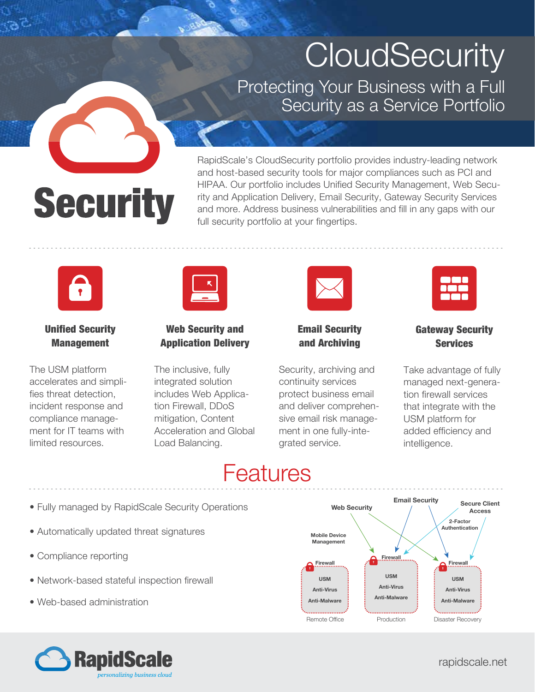## **CloudSecurity**

Protecting Your Business with a Full Security as a Service Portfolio

# **Security**

RapidScale's CloudSecurity portfolio provides industry-leading network and host-based security tools for major compliances such as PCI and HIPAA. Our portfolio includes Unified Security Management, Web Security and Application Delivery, Email Security, Gateway Security Services and more. Address business vulnerabilities and fill in any gaps with our full security portfolio at your fingertips.



#### Unified Security Management

The USM platform accelerates and simplifies threat detection, incident response and compliance management for IT teams with limited resources.

| -- |
|----|
|    |

#### Web Security and Application Delivery

The inclusive, fully integrated solution includes Web Application Firewall, DDoS mitigation, Content Acceleration and Global Load Balancing.



#### Email Security and Archiving

Security, archiving and continuity services protect business email and deliver comprehensive email risk management in one fully-integrated service.



#### Gateway Security **Services**

Take advantage of fully managed next-generation firewall services that integrate with the USM platform for added efficiency and intelligence.

### Features

- Fully managed by RapidScale Security Operations
- Automatically updated threat signatures
- Compliance reporting
- Network-based stateful inspection firewall
- Web-based administration





rapidscale.net